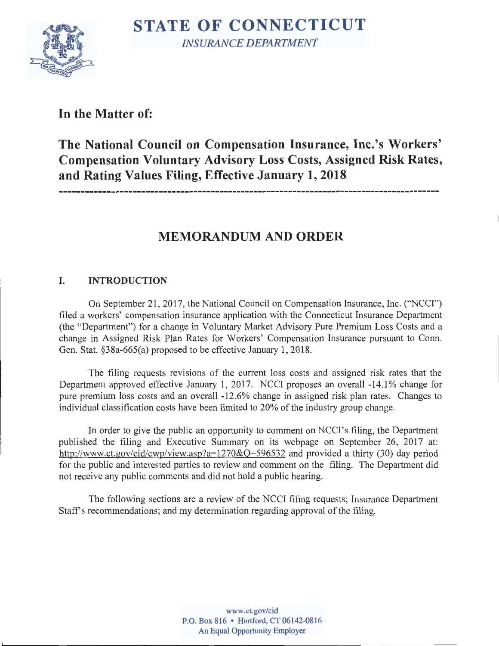

**In the Matter of:** 

**The National Council on Compensation Insurance, Inc.'s Workers' Compensation Voluntary Advisory Loss Costs, Assigned Risk Rates, and Rating Values Filing, Effective January 1, 2018** 

# **MEMORANDUM AND ORDER**

# **I. INTRODUCTION**

On September 21, 2017, the National Council on Compensation Insurance, Inc. ("NCCI") filed a workers' compensation insurance application with the Connecticut Insurance Department (the "Department") for a change in Voluntary Market Advisory Pure Premium Loss Costs and a change in Assigned Risk Plan Rates for Workers' Compensation Insurance pursuant to Conn. Gen. Stat. §38a-665(a) proposed to be effective January 1, 2018.

The filing requests revisions of the current loss costs and assigned risk rates that the Department approved effective January 1, 2017. NCCI proposes an overall -14.1% change for pure premium loss costs and an overall -12.6% change in assigned risk plan rates. Changes to individual classification costs have been limited to 20% of the industry group change.

In order to give the public an opportunity to comment on NCCI's filing, the Department published the filing and Executive Summary on its webpage on September 26, 2017 at: http://www.ct.gov/cid/cwp/view.asp?a=1270&Q=596532 and provided a thirty (30) day period for the public and interested parties to review and comment on the filing. The Department did not receive any public comments and did not hold a public hearing.

The following sections are a review of the NCCI filing requests; Insurance Department Staff's recommendations; and my determination regarding approval of the filing.

> **www.ct.gov/cid P.O. Box 816** • **Hartford, CT 06142-0816 An Equal Opportunity Employer**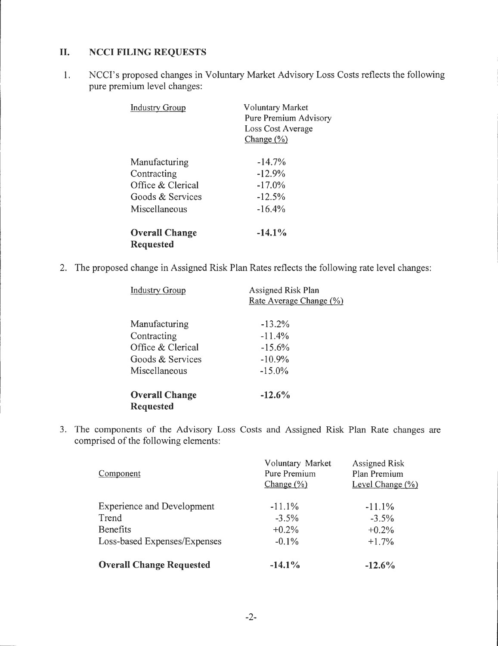## II. **NCCI FILING REQUESTS**

1. NCCI's proposed changes in Voluntary Market Advisory Loss Costs reflects the following pure premium level changes:

| <b>Industry Group</b>                                                                  | <b>Voluntary Market</b><br>Pure Premium Advisory<br>Loss Cost Average<br>Change $(\frac{6}{6})$ |  |
|----------------------------------------------------------------------------------------|-------------------------------------------------------------------------------------------------|--|
| Manufacturing<br>Contracting<br>Office & Clerical<br>Goods & Services<br>Miscellaneous | $-14.7%$<br>$-12.9%$<br>$-17.0\%$<br>$-12.5%$<br>$-16.4%$                                       |  |
| <b>Overall Change</b><br><b>Requested</b>                                              | $-14.1%$                                                                                        |  |

2. The proposed change in Assigned Risk Plan Rates reflects the following rate level changes:

| <b>Industry Group</b> | <b>Assigned Risk Plan</b><br>Rate Average Change (%) |  |
|-----------------------|------------------------------------------------------|--|
| Manufacturing         | $-13.2%$                                             |  |
| Contracting           | $-11.4%$                                             |  |
| Office & Clerical     | $-15.6%$                                             |  |
| Goods & Services      | $-10.9%$                                             |  |
| Miscellaneous         | $-15.0\%$                                            |  |
| <b>Overall Change</b> | $-12.6%$                                             |  |
| <b>Requested</b>      |                                                      |  |

3. The components of the Advisory Loss Costs and Assigned Risk Plan Rate changes are comprised of the following elements:

| Component                         | Voluntary Market<br>Pure Premium<br>Change $(\% )$ | <b>Assigned Risk</b><br>Plan Premium<br>Level Change $(\% )$ |
|-----------------------------------|----------------------------------------------------|--------------------------------------------------------------|
| <b>Experience and Development</b> | $-11.1\%$                                          | $-11.1%$                                                     |
| Trend                             | $-3.5%$                                            | $-3.5%$                                                      |
| <b>Benefits</b>                   | $+0.2%$                                            | $+0.2%$                                                      |
| Loss-based Expenses/Expenses      | $-0.1\%$                                           | $+1.7%$                                                      |
| <b>Overall Change Requested</b>   | $-14.1\%$                                          | $-12.6\%$                                                    |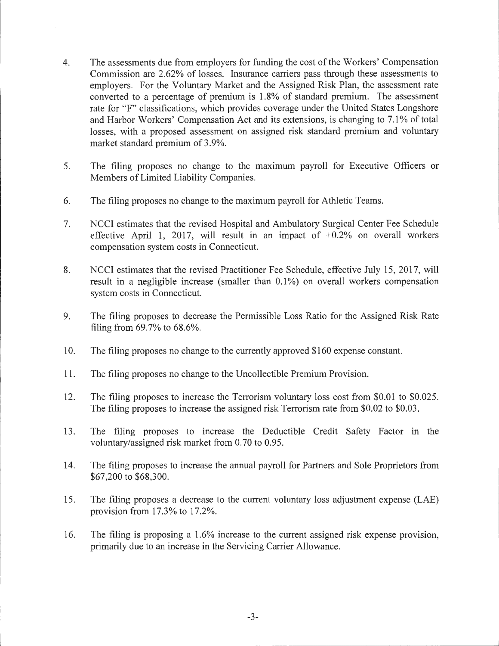- 4. The assessments due from employers for funding the cost of the Workers' Compensation Commission are 2.62% of losses. Insurance carriers pass through these assessments to employers. For the Voluntary Market and the Assigned Risk Plan, the assessment rate converted to a percentage of premium is 1.8% of standard premium. The assessment rate for "F" classifications, which provides coverage under the United States Longshore and Harbor Workers' Compensation Act and its extensions, is changing to 7.1% of total losses, with a proposed assessment on assigned risk standard premium and voluntary market standard premium of 3.9%.
- 5. The filing proposes no change to the maximum payroll for Executive Officers or Members of Limited Liability Companies.
- 6. The filing proposes no change to the maximum payroll for Athletic Teams.
- 7. NCCI estimates that the revised Hospital and Ambulatory Surgical Center Fee Schedule effective April 1, 2017, will result in an impact of +0.2% on overall workers compensation system costs in Connecticut.
- 8. NCCI estimates that the revised Practitioner Fee Schedule, effective July 15, 2017, will result in a negligible increase (smaller than  $0.1\%$ ) on overall workers compensation system costs in Connecticut.
- 9. The filing proposes to decrease the Permissible Loss Ratio for the Assigned Risk Rate filing from 69.7% to 68.6%.
- 10. The filing proposes no change to the currently approved \$160 expense constant.
- 11. The filing proposes no change to the Uncollectible Premium Provision.
- 12. The filing proposes to increase the Terrorism voluntary loss cost from \$0.01 to \$0.025. The filing proposes to increase the assigned risk Terrorism rate from \$0.02 to \$0.03.
- 13. The filing proposes to increase the Deductible Credit Safety Factor in the voluntary/assigned risk market from 0.70 to 0.95.
- 14. The filing proposes to increase the annual payroll for Partners and Sole Proprietors from \$67,200 to \$68,300.
- 15. The filing proposes a decrease to the current voluntary loss adjustment expense (LAE) provision from 17.3% to 17.2%.
- 16. The filing is proposing a 1.6% increase to the current assigned risk expense provision, primarily due to an increase in the Servicing Carrier Allowance.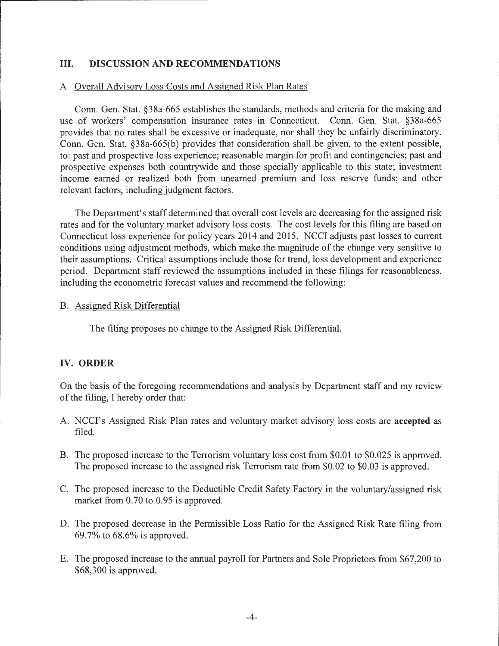## **III. DISCUSSION AND RECOMMENDATIONS**

#### A. Overall Advisory Loss Costs and Assigned Risk Plan Rates

Conn. Gen. Stat. §38a-665 establishes the standards, methods and criteria for the making and use of workers' compensation insurance rates in Connecticut. Conn. Gen. Stat. §38a-665 provides that no rates shall be excessive or inadequate, nor shall they be unfairly discriminatory. Conn. Gen. Stat. §38a-665(b) provides that consideration shall be given, to the extent possible, to: past and prospective loss experience; reasonable margin for profit and contingencies; past and prospective expenses both countrywide and those specially applicable to this state; investment income earned or realized both from unearned premium and loss reserve funds; and other relevant factors, including judgment factors.

The Department's staff determined that overall cost levels are decreasing for the assigned risk rates and for the voluntary market advisory loss costs. The cost levels for this filing are based on Connecticut loss experience for policy years 2014 and 2015. NCCI adjusts past losses to current conditions using adjustment methods, which make the magnitude of the change very sensitive to their assumptions. Critical assumptions include those for trend, loss development and experience period. Department staff reviewed the assumptions included in these filings for reasonableness, including the econometric forecast values and recommend the following:

#### B. Assigned Risk Differential

The filing proposes no change to the Assigned Risk Differential.

### **IV. ORDER**

On the basis of the foregoing recommendations and analysis by Department staff and my review of the filing, I hereby order that:

- A. NCCI's Assigned Risk Plan rates and voluntary market advisory loss costs are **accepted** as filed.
- B. The proposed increase to the Terrorism voluntary loss cost from \$0.01 to \$0.025 is approved. The proposed increase to the assigned risk Terrorism rate from \$0.02 to \$0.03 is approved.
- C. The proposed increase to the Deductible Credit Safety Factory in the voluntary/assigned risk market from 0.70 to 0.95 is approved.
- D. The proposed decrease in the Permissible Loss Ratio for the Assigned Risk Rate filing from 69.7% to 68.6% is approved.
- E. The proposed increase to the annual payroll for Partners and Sole Proprietors from \$67,200 to \$68,300 is approved.